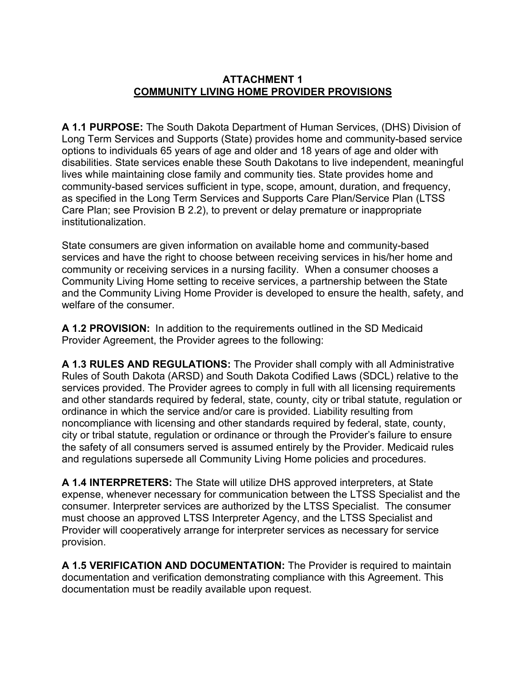## **ATTACHMENT 1 COMMUNITY LIVING HOME PROVIDER PROVISIONS**

**A 1.1 PURPOSE:** The South Dakota Department of Human Services, (DHS) Division of Long Term Services and Supports (State) provides home and community-based service options to individuals 65 years of age and older and 18 years of age and older with disabilities. State services enable these South Dakotans to live independent, meaningful lives while maintaining close family and community ties. State provides home and community-based services sufficient in type, scope, amount, duration, and frequency, as specified in the Long Term Services and Supports Care Plan/Service Plan (LTSS Care Plan; see Provision B 2.2), to prevent or delay premature or inappropriate institutionalization.

State consumers are given information on available home and community-based services and have the right to choose between receiving services in his/her home and community or receiving services in a nursing facility. When a consumer chooses a Community Living Home setting to receive services, a partnership between the State and the Community Living Home Provider is developed to ensure the health, safety, and welfare of the consumer.

**A 1.2 PROVISION:** In addition to the requirements outlined in the SD Medicaid Provider Agreement, the Provider agrees to the following:

**A 1.3 RULES AND REGULATIONS:** The Provider shall comply with all Administrative Rules of South Dakota (ARSD) and South Dakota Codified Laws (SDCL) relative to the services provided. The Provider agrees to comply in full with all licensing requirements and other standards required by federal, state, county, city or tribal statute, regulation or ordinance in which the service and/or care is provided. Liability resulting from noncompliance with licensing and other standards required by federal, state, county, city or tribal statute, regulation or ordinance or through the Provider's failure to ensure the safety of all consumers served is assumed entirely by the Provider. Medicaid rules and regulations supersede all Community Living Home policies and procedures.

**A 1.4 INTERPRETERS:** The State will utilize DHS approved interpreters, at State expense, whenever necessary for communication between the LTSS Specialist and the consumer. Interpreter services are authorized by the LTSS Specialist. The consumer must choose an approved LTSS Interpreter Agency, and the LTSS Specialist and Provider will cooperatively arrange for interpreter services as necessary for service provision.

**A 1.5 VERIFICATION AND DOCUMENTATION:** The Provider is required to maintain documentation and verification demonstrating compliance with this Agreement. This documentation must be readily available upon request.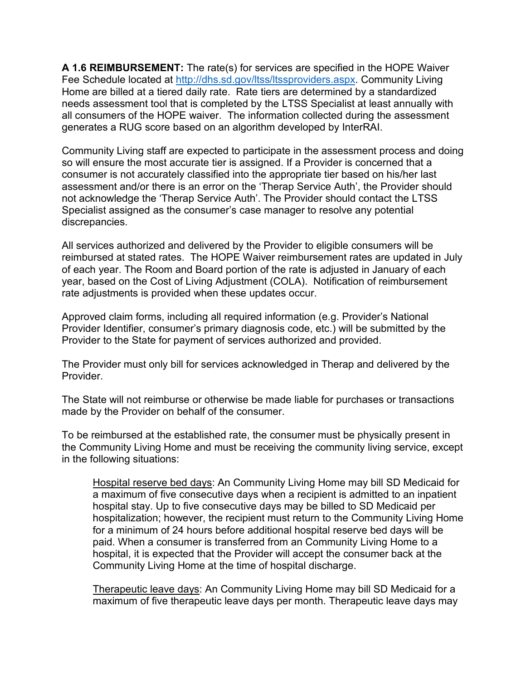**A 1.6 REIMBURSEMENT:** The rate(s) for services are specified in the HOPE Waiver Fee Schedule located at [http://dhs.sd.gov/ltss/ltssproviders.aspx.](http://dhs.sd.gov/ltss/ltssproviders.aspx) Community Living Home are billed at a tiered daily rate. Rate tiers are determined by a standardized needs assessment tool that is completed by the LTSS Specialist at least annually with all consumers of the HOPE waiver. The information collected during the assessment generates a RUG score based on an algorithm developed by InterRAI.

Community Living staff are expected to participate in the assessment process and doing so will ensure the most accurate tier is assigned. If a Provider is concerned that a consumer is not accurately classified into the appropriate tier based on his/her last assessment and/or there is an error on the 'Therap Service Auth', the Provider should not acknowledge the 'Therap Service Auth'. The Provider should contact the LTSS Specialist assigned as the consumer's case manager to resolve any potential discrepancies.

All services authorized and delivered by the Provider to eligible consumers will be reimbursed at stated rates. The HOPE Waiver reimbursement rates are updated in July of each year. The Room and Board portion of the rate is adjusted in January of each year, based on the Cost of Living Adjustment (COLA). Notification of reimbursement rate adjustments is provided when these updates occur.

Approved claim forms, including all required information (e.g. Provider's National Provider Identifier, consumer's primary diagnosis code, etc.) will be submitted by the Provider to the State for payment of services authorized and provided.

The Provider must only bill for services acknowledged in Therap and delivered by the **Provider** 

The State will not reimburse or otherwise be made liable for purchases or transactions made by the Provider on behalf of the consumer.

To be reimbursed at the established rate, the consumer must be physically present in the Community Living Home and must be receiving the community living service, except in the following situations:

Hospital reserve bed days: An Community Living Home may bill SD Medicaid for a maximum of five consecutive days when a recipient is admitted to an inpatient hospital stay. Up to five consecutive days may be billed to SD Medicaid per hospitalization; however, the recipient must return to the Community Living Home for a minimum of 24 hours before additional hospital reserve bed days will be paid. When a consumer is transferred from an Community Living Home to a hospital, it is expected that the Provider will accept the consumer back at the Community Living Home at the time of hospital discharge.

Therapeutic leave days: An Community Living Home may bill SD Medicaid for a maximum of five therapeutic leave days per month. Therapeutic leave days may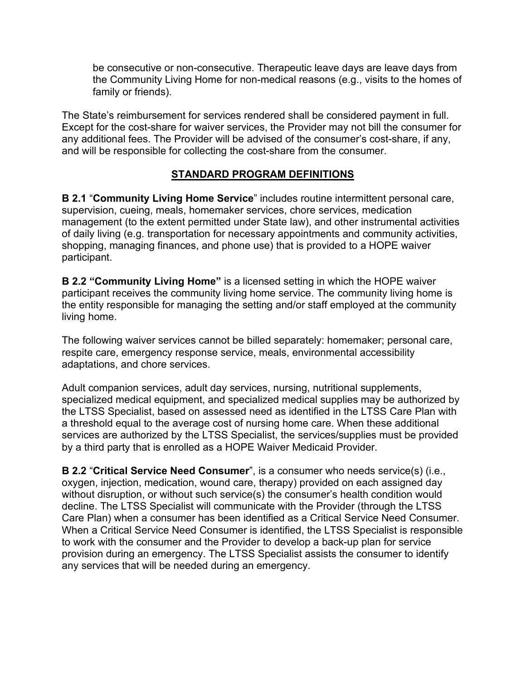be consecutive or non-consecutive. Therapeutic leave days are leave days from the Community Living Home for non-medical reasons (e.g., visits to the homes of family or friends).

The State's reimbursement for services rendered shall be considered payment in full. Except for the cost-share for waiver services, the Provider may not bill the consumer for any additional fees. The Provider will be advised of the consumer's cost-share, if any, and will be responsible for collecting the cost-share from the consumer.

## **STANDARD PROGRAM DEFINITIONS**

**B 2.1** "**Community Living Home Service**" includes routine intermittent personal care, supervision, cueing, meals, homemaker services, chore services, medication management (to the extent permitted under State law), and other instrumental activities of daily living (e.g. transportation for necessary appointments and community activities, shopping, managing finances, and phone use) that is provided to a HOPE waiver participant.

**B 2.2 "Community Living Home"** is a licensed setting in which the HOPE waiver participant receives the community living home service. The community living home is the entity responsible for managing the setting and/or staff employed at the community living home.

The following waiver services cannot be billed separately: homemaker; personal care, respite care, emergency response service, meals, environmental accessibility adaptations, and chore services.

Adult companion services, adult day services, nursing, nutritional supplements, specialized medical equipment, and specialized medical supplies may be authorized by the LTSS Specialist, based on assessed need as identified in the LTSS Care Plan with a threshold equal to the average cost of nursing home care. When these additional services are authorized by the LTSS Specialist, the services/supplies must be provided by a third party that is enrolled as a HOPE Waiver Medicaid Provider.

**B 2.2** "**Critical Service Need Consumer**", is a consumer who needs service(s) (i.e., oxygen, injection, medication, wound care, therapy) provided on each assigned day without disruption, or without such service(s) the consumer's health condition would decline. The LTSS Specialist will communicate with the Provider (through the LTSS Care Plan) when a consumer has been identified as a Critical Service Need Consumer. When a Critical Service Need Consumer is identified, the LTSS Specialist is responsible to work with the consumer and the Provider to develop a back-up plan for service provision during an emergency. The LTSS Specialist assists the consumer to identify any services that will be needed during an emergency.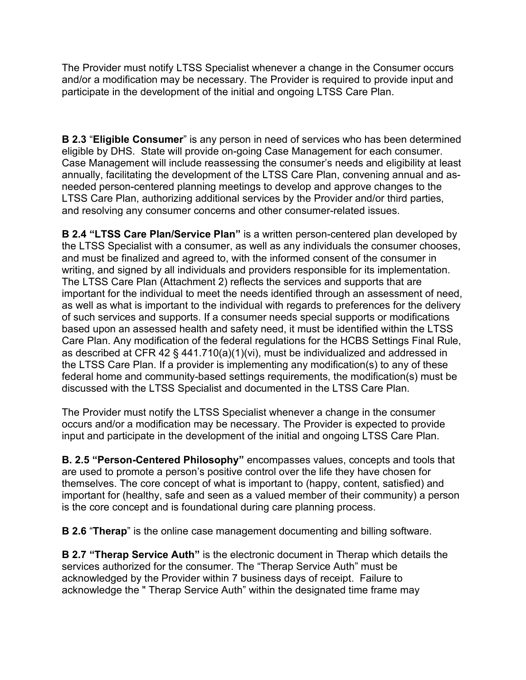The Provider must notify LTSS Specialist whenever a change in the Consumer occurs and/or a modification may be necessary. The Provider is required to provide input and participate in the development of the initial and ongoing LTSS Care Plan.

**B 2.3** "**Eligible Consumer**" is any person in need of services who has been determined eligible by DHS. State will provide on-going Case Management for each consumer. Case Management will include reassessing the consumer's needs and eligibility at least annually, facilitating the development of the LTSS Care Plan, convening annual and asneeded person-centered planning meetings to develop and approve changes to the LTSS Care Plan, authorizing additional services by the Provider and/or third parties, and resolving any consumer concerns and other consumer-related issues.

**B 2.4 "LTSS Care Plan/Service Plan"** is a written person-centered plan developed by the LTSS Specialist with a consumer, as well as any individuals the consumer chooses, and must be finalized and agreed to, with the informed consent of the consumer in writing, and signed by all individuals and providers responsible for its implementation. The LTSS Care Plan (Attachment 2) reflects the services and supports that are important for the individual to meet the needs identified through an assessment of need, as well as what is important to the individual with regards to preferences for the delivery of such services and supports. If a consumer needs special supports or modifications based upon an assessed health and safety need, it must be identified within the LTSS Care Plan. Any modification of the federal regulations for the HCBS Settings Final Rule, as described at CFR 42 § 441.710(a)(1)(vi), must be individualized and addressed in the LTSS Care Plan. If a provider is implementing any modification(s) to any of these federal home and community-based settings requirements, the modification(s) must be discussed with the LTSS Specialist and documented in the LTSS Care Plan.

The Provider must notify the LTSS Specialist whenever a change in the consumer occurs and/or a modification may be necessary. The Provider is expected to provide input and participate in the development of the initial and ongoing LTSS Care Plan.

**B. 2.5 "Person-Centered Philosophy"** encompasses values, concepts and tools that are used to promote a person's positive control over the life they have chosen for themselves. The core concept of what is important to (happy, content, satisfied) and important for (healthy, safe and seen as a valued member of their community) a person is the core concept and is foundational during care planning process.

**B 2.6** "**Therap**" is the online case management documenting and billing software.

**B 2.7 "Therap Service Auth"** is the electronic document in Therap which details the services authorized for the consumer. The "Therap Service Auth" must be acknowledged by the Provider within 7 business days of receipt. Failure to acknowledge the " Therap Service Auth" within the designated time frame may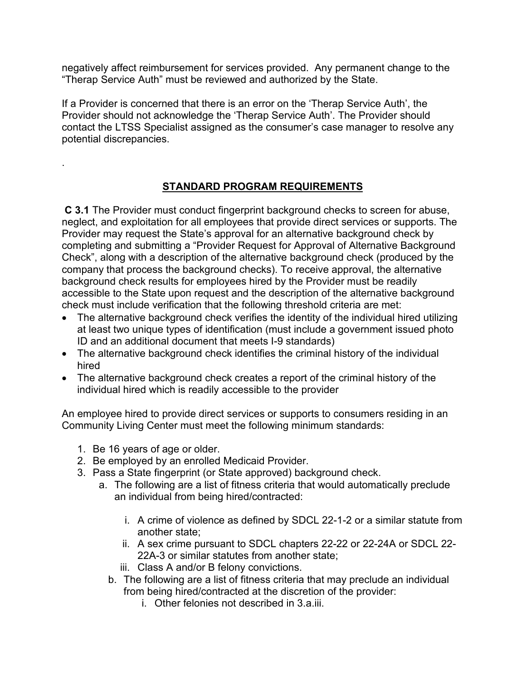negatively affect reimbursement for services provided. Any permanent change to the "Therap Service Auth" must be reviewed and authorized by the State.

If a Provider is concerned that there is an error on the 'Therap Service Auth', the Provider should not acknowledge the 'Therap Service Auth'. The Provider should contact the LTSS Specialist assigned as the consumer's case manager to resolve any potential discrepancies.

## **STANDARD PROGRAM REQUIREMENTS**

**C 3.1** The Provider must conduct fingerprint background checks to screen for abuse, neglect, and exploitation for all employees that provide direct services or supports. The Provider may request the State's approval for an alternative background check by completing and submitting a "Provider Request for Approval of Alternative Background Check", along with a description of the alternative background check (produced by the company that process the background checks). To receive approval, the alternative background check results for employees hired by the Provider must be readily accessible to the State upon request and the description of the alternative background check must include verification that the following threshold criteria are met:

- The alternative background check verifies the identity of the individual hired utilizing at least two unique types of identification (must include a government issued photo ID and an additional document that meets I-9 standards)
- The alternative background check identifies the criminal history of the individual hired
- The alternative background check creates a report of the criminal history of the individual hired which is readily accessible to the provider

An employee hired to provide direct services or supports to consumers residing in an Community Living Center must meet the following minimum standards:

1. Be 16 years of age or older.

.

- 2. Be employed by an enrolled Medicaid Provider.
- 3. Pass a State fingerprint (or State approved) background check.
	- a. The following are a list of fitness criteria that would automatically preclude an individual from being hired/contracted:
		- i. A crime of violence as defined by SDCL 22-1-2 or a similar statute from another state;
		- ii. A sex crime pursuant to SDCL chapters 22-22 or 22-24A or SDCL 22- 22A-3 or similar statutes from another state;
		- iii. Class A and/or B felony convictions.
		- b. The following are a list of fitness criteria that may preclude an individual from being hired/contracted at the discretion of the provider:
			- i. Other felonies not described in 3.a.iii.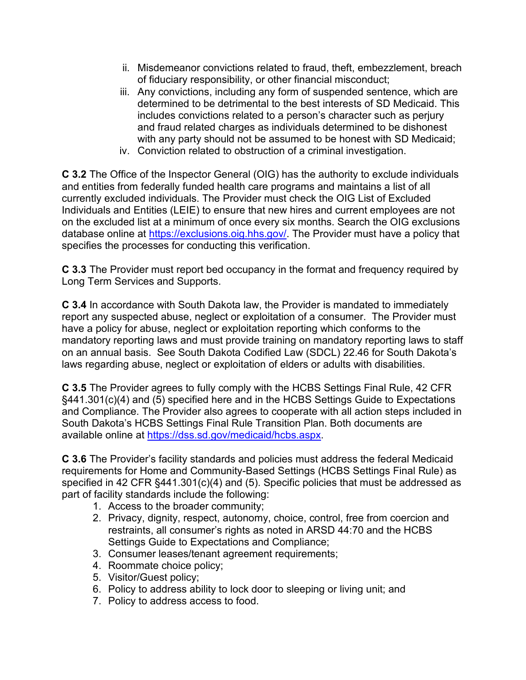- ii. Misdemeanor convictions related to fraud, theft, embezzlement, breach of fiduciary responsibility, or other financial misconduct;
- iii. Any convictions, including any form of suspended sentence, which are determined to be detrimental to the best interests of SD Medicaid. This includes convictions related to a person's character such as perjury and fraud related charges as individuals determined to be dishonest with any party should not be assumed to be honest with SD Medicaid;
- iv. Conviction related to obstruction of a criminal investigation.

**C 3.2** The Office of the Inspector General (OIG) has the authority to exclude individuals and entities from federally funded health care programs and maintains a list of all currently excluded individuals. The Provider must check the OIG List of Excluded Individuals and Entities (LEIE) to ensure that new hires and current employees are not on the excluded list at a minimum of once every six months. Search the OIG exclusions database online at [https://exclusions.oig.hhs.gov/.](https://exclusions.oig.hhs.gov/) The Provider must have a policy that specifies the processes for conducting this verification.

**C 3.3** The Provider must report bed occupancy in the format and frequency required by Long Term Services and Supports.

**C 3.4** In accordance with South Dakota law, the Provider is mandated to immediately report any suspected abuse, neglect or exploitation of a consumer. The Provider must have a policy for abuse, neglect or exploitation reporting which conforms to the mandatory reporting laws and must provide training on mandatory reporting laws to staff on an annual basis. See South Dakota Codified Law (SDCL) 22.46 for South Dakota's laws regarding abuse, neglect or exploitation of elders or adults with disabilities.

**C 3.5** The Provider agrees to fully comply with the HCBS Settings Final Rule, 42 CFR §441.301(c)(4) and (5) specified here and in the HCBS Settings Guide to Expectations and Compliance. The Provider also agrees to cooperate with all action steps included in South Dakota's HCBS Settings Final Rule Transition Plan. Both documents are available online at [https://dss.sd.gov/medicaid/hcbs.aspx.](https://dss.sd.gov/medicaid/hcbs.aspx)

**C 3.6** The Provider's facility standards and policies must address the federal Medicaid requirements for Home and Community-Based Settings (HCBS Settings Final Rule) as specified in 42 CFR §441.301(c)(4) and (5). Specific policies that must be addressed as part of facility standards include the following:

- 1. Access to the broader community;
- 2. Privacy, dignity, respect, autonomy, choice, control, free from coercion and restraints, all consumer's rights as noted in ARSD 44:70 and the HCBS Settings Guide to Expectations and Compliance;
- 3. Consumer leases/tenant agreement requirements;
- 4. Roommate choice policy;
- 5. Visitor/Guest policy;
- 6. Policy to address ability to lock door to sleeping or living unit; and
- 7. Policy to address access to food.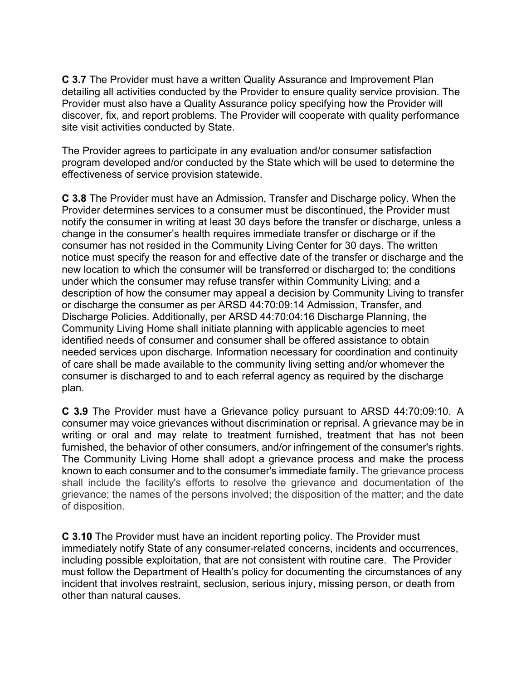**C 3.7** The Provider must have a written Quality Assurance and Improvement Plan detailing all activities conducted by the Provider to ensure quality service provision. The Provider must also have a Quality Assurance policy specifying how the Provider will discover, fix, and report problems. The Provider will cooperate with quality performance site visit activities conducted by State.

The Provider agrees to participate in any evaluation and/or consumer satisfaction program developed and/or conducted by the State which will be used to determine the effectiveness of service provision statewide.

**C 3.8** The Provider must have an Admission, Transfer and Discharge policy. When the Provider determines services to a consumer must be discontinued, the Provider must notify the consumer in writing at least 30 days before the transfer or discharge, unless a change in the consumer's health requires immediate transfer or discharge or if the consumer has not resided in the Community Living Center for 30 days. The written notice must specify the reason for and effective date of the transfer or discharge and the new location to which the consumer will be transferred or discharged to; the conditions under which the consumer may refuse transfer within Community Living; and a description of how the consumer may appeal a decision by Community Living to transfer or discharge the consumer as per ARSD 44:70:09:14 Admission, Transfer, and Discharge Policies. Additionally, per ARSD 44:70:04:16 Discharge Planning, the Community Living Home shall initiate planning with applicable agencies to meet identified needs of consumer and consumer shall be offered assistance to obtain needed services upon discharge. Information necessary for coordination and continuity of care shall be made available to the community living setting and/or whomever the consumer is discharged to and to each referral agency as required by the discharge plan.

**C 3.9** The Provider must have a Grievance policy pursuant to ARSD 44:70:09:10. A consumer may voice grievances without discrimination or reprisal. A grievance may be in writing or oral and may relate to treatment furnished, treatment that has not been furnished, the behavior of other consumers, and/or infringement of the consumer's rights. The Community Living Home shall adopt a grievance process and make the process known to each consumer and to the consumer's immediate family. The grievance process shall include the facility's efforts to resolve the grievance and documentation of the grievance; the names of the persons involved; the disposition of the matter; and the date of disposition.

**C 3.10** The Provider must have an incident reporting policy. The Provider must immediately notify State of any consumer-related concerns, incidents and occurrences, including possible exploitation, that are not consistent with routine care. The Provider must follow the Department of Health's policy for documenting the circumstances of any incident that involves restraint, seclusion, serious injury, missing person, or death from other than natural causes.